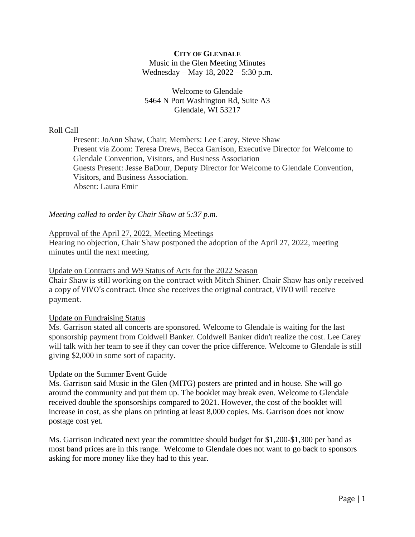## **CITY OF GLENDALE** Music in the Glen Meeting Minutes Wednesday – May 18, 2022 – 5:30 p.m.

## Welcome to Glendale 5464 N Port Washington Rd, Suite A3 Glendale, WI 53217

## Roll Call

Present: JoAnn Shaw, Chair; Members: Lee Carey, Steve Shaw Present via Zoom: Teresa Drews, Becca Garrison, Executive Director for Welcome to Glendale Convention, Visitors, and Business Association Guests Present: Jesse BaDour, Deputy Director for Welcome to Glendale Convention, Visitors, and Business Association. Absent: Laura Emir

# *Meeting called to order by Chair Shaw at 5:37 p.m.*

### Approval of the April 27, 2022, Meeting Meetings

Hearing no objection, Chair Shaw postponed the adoption of the April 27, 2022, meeting minutes until the next meeting.

### Update on Contracts and W9 Status of Acts for the 2022 Season

Chair Shaw is still working on the contract with Mitch Shiner. Chair Shaw has only received a copy of VIVO's contract. Once she receives the original contract, VIVO will receive payment.

### Update on Fundraising Status

Ms. Garrison stated all concerts are sponsored. Welcome to Glendale is waiting for the last sponsorship payment from Coldwell Banker. Coldwell Banker didn't realize the cost. Lee Carey will talk with her team to see if they can cover the price difference. Welcome to Glendale is still giving \$2,000 in some sort of capacity.

### Update on the Summer Event Guide

Ms. Garrison said Music in the Glen (MITG) posters are printed and in house. She will go around the community and put them up. The booklet may break even. Welcome to Glendale received double the sponsorships compared to 2021. However, the cost of the booklet will increase in cost, as she plans on printing at least 8,000 copies. Ms. Garrison does not know postage cost yet.

Ms. Garrison indicated next year the committee should budget for \$1,200-\$1,300 per band as most band prices are in this range. Welcome to Glendale does not want to go back to sponsors asking for more money like they had to this year.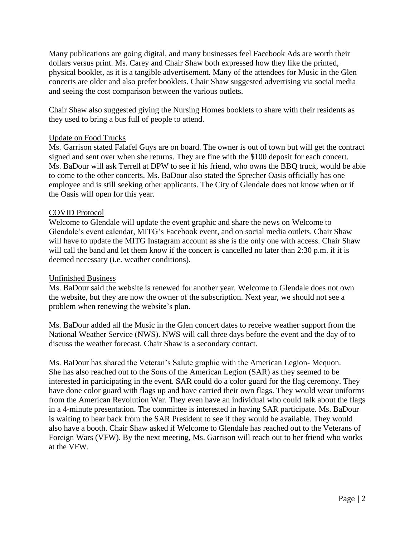Many publications are going digital, and many businesses feel Facebook Ads are worth their dollars versus print. Ms. Carey and Chair Shaw both expressed how they like the printed, physical booklet, as it is a tangible advertisement. Many of the attendees for Music in the Glen concerts are older and also prefer booklets. Chair Shaw suggested advertising via social media and seeing the cost comparison between the various outlets.

Chair Shaw also suggested giving the Nursing Homes booklets to share with their residents as they used to bring a bus full of people to attend.

#### Update on Food Trucks

Ms. Garrison stated Falafel Guys are on board. The owner is out of town but will get the contract signed and sent over when she returns. They are fine with the \$100 deposit for each concert. Ms. BaDour will ask Terrell at DPW to see if his friend, who owns the BBQ truck, would be able to come to the other concerts. Ms. BaDour also stated the Sprecher Oasis officially has one employee and is still seeking other applicants. The City of Glendale does not know when or if the Oasis will open for this year.

### COVID Protocol

Welcome to Glendale will update the event graphic and share the news on Welcome to Glendale's event calendar, MITG's Facebook event, and on social media outlets. Chair Shaw will have to update the MITG Instagram account as she is the only one with access. Chair Shaw will call the band and let them know if the concert is cancelled no later than 2:30 p.m. if it is deemed necessary (i.e. weather conditions).

### Unfinished Business

Ms. BaDour said the website is renewed for another year. Welcome to Glendale does not own the website, but they are now the owner of the subscription. Next year, we should not see a problem when renewing the website's plan.

Ms. BaDour added all the Music in the Glen concert dates to receive weather support from the National Weather Service (NWS). NWS will call three days before the event and the day of to discuss the weather forecast. Chair Shaw is a secondary contact.

Ms. BaDour has shared the Veteran's Salute graphic with the American Legion- Mequon. She has also reached out to the Sons of the American Legion (SAR) as they seemed to be interested in participating in the event. SAR could do a color guard for the flag ceremony. They have done color guard with flags up and have carried their own flags. They would wear uniforms from the American Revolution War. They even have an individual who could talk about the flags in a 4-minute presentation. The committee is interested in having SAR participate. Ms. BaDour is waiting to hear back from the SAR President to see if they would be available. They would also have a booth. Chair Shaw asked if Welcome to Glendale has reached out to the Veterans of Foreign Wars (VFW). By the next meeting, Ms. Garrison will reach out to her friend who works at the VFW.